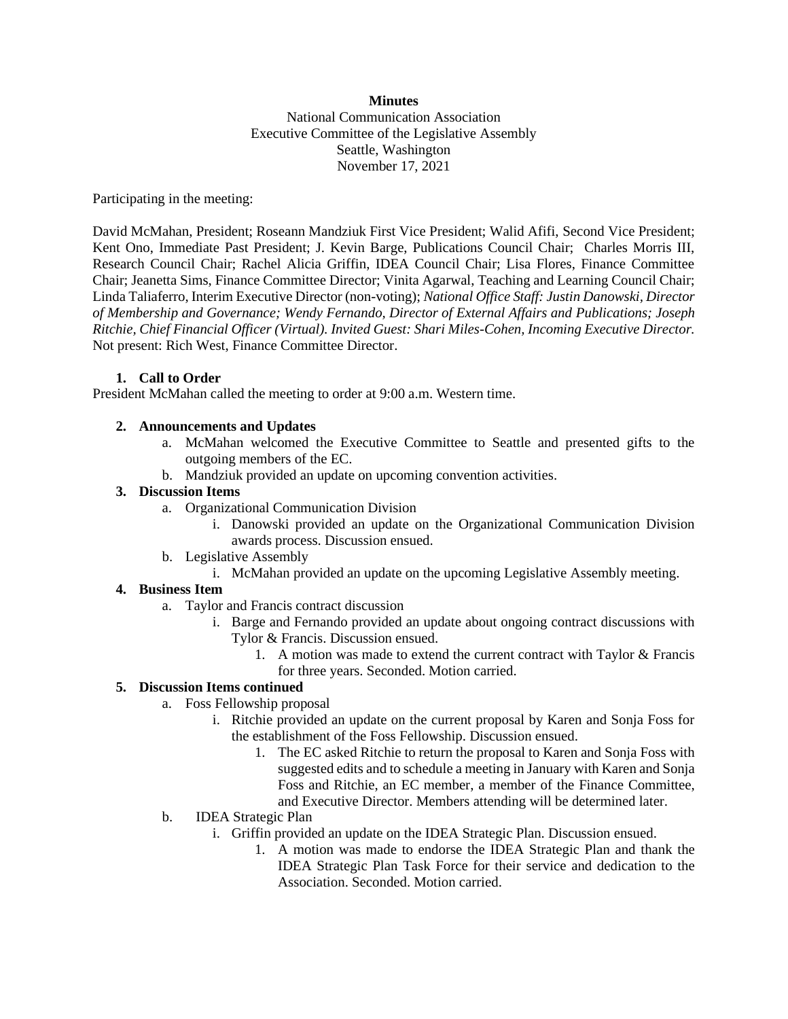### **Minutes** National Communication Association Executive Committee of the Legislative Assembly Seattle, Washington November 17, 2021

Participating in the meeting:

David McMahan, President; Roseann Mandziuk First Vice President; Walid Afifi, Second Vice President; Kent Ono, Immediate Past President; J. Kevin Barge, Publications Council Chair; Charles Morris III, Research Council Chair; Rachel Alicia Griffin, IDEA Council Chair; Lisa Flores, Finance Committee Chair; Jeanetta Sims, Finance Committee Director; Vinita Agarwal, Teaching and Learning Council Chair; Linda Taliaferro, Interim Executive Director (non-voting); *National Office Staff: Justin Danowski, Director of Membership and Governance; Wendy Fernando, Director of External Affairs and Publications; Joseph Ritchie, Chief Financial Officer (Virtual). Invited Guest: Shari Miles-Cohen, Incoming Executive Director.* Not present: Rich West, Finance Committee Director.

## **1. Call to Order**

President McMahan called the meeting to order at 9:00 a.m. Western time.

## **2. Announcements and Updates**

- a. McMahan welcomed the Executive Committee to Seattle and presented gifts to the outgoing members of the EC.
- b. Mandziuk provided an update on upcoming convention activities.

## **3. Discussion Items**

- a. Organizational Communication Division
	- i. Danowski provided an update on the Organizational Communication Division awards process. Discussion ensued.
- b. Legislative Assembly
	- i. McMahan provided an update on the upcoming Legislative Assembly meeting.

# **4. Business Item**

- a. Taylor and Francis contract discussion
	- i. Barge and Fernando provided an update about ongoing contract discussions with Tylor & Francis. Discussion ensued.
		- 1. A motion was made to extend the current contract with Taylor & Francis for three years. Seconded. Motion carried.

# **5. Discussion Items continued**

- a. Foss Fellowship proposal
	- i. Ritchie provided an update on the current proposal by Karen and Sonja Foss for the establishment of the Foss Fellowship. Discussion ensued.
		- 1. The EC asked Ritchie to return the proposal to Karen and Sonja Foss with suggested edits and to schedule a meeting in January with Karen and Sonja Foss and Ritchie, an EC member, a member of the Finance Committee, and Executive Director. Members attending will be determined later.
- b. IDEA Strategic Plan
	- i. Griffin provided an update on the IDEA Strategic Plan. Discussion ensued.
		- 1. A motion was made to endorse the IDEA Strategic Plan and thank the IDEA Strategic Plan Task Force for their service and dedication to the Association. Seconded. Motion carried.